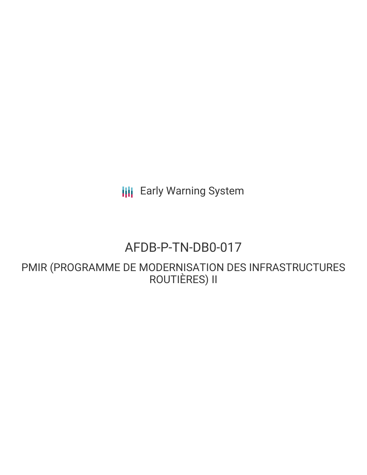**III** Early Warning System

# AFDB-P-TN-DB0-017

PMIR (PROGRAMME DE MODERNISATION DES INFRASTRUCTURES ROUTIÈRES) II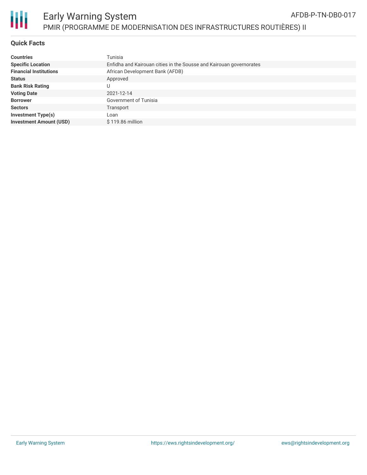

# Early Warning System PMIR (PROGRAMME DE MODERNISATION DES INFRASTRUCTURES ROUTIÈRES) II

### **Quick Facts**

| <b>Countries</b>               | Tunisia                                                             |
|--------------------------------|---------------------------------------------------------------------|
| <b>Specific Location</b>       | Enfidha and Kairouan cities in the Sousse and Kairouan governorates |
| <b>Financial Institutions</b>  | African Development Bank (AFDB)                                     |
| <b>Status</b>                  | Approved                                                            |
| <b>Bank Risk Rating</b>        |                                                                     |
| <b>Voting Date</b>             | 2021-12-14                                                          |
| <b>Borrower</b>                | Government of Tunisia                                               |
| <b>Sectors</b>                 | Transport                                                           |
| <b>Investment Type(s)</b>      | Loan                                                                |
| <b>Investment Amount (USD)</b> | $$119.86$ million                                                   |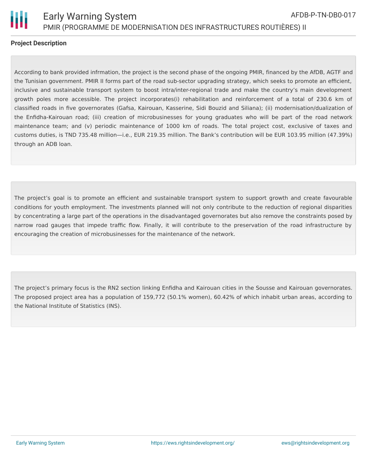

### **Project Description**

According to bank provided infrmation, the project is the second phase of the ongoing PMIR, financed by the AfDB, AGTF and the Tunisian government. PMIR II forms part of the road sub-sector upgrading strategy, which seeks to promote an efficient, inclusive and sustainable transport system to boost intra/inter-regional trade and make the country's main development growth poles more accessible. The project incorporates(i) rehabilitation and reinforcement of a total of 230.6 km of classified roads in five governorates (Gafsa, Kairouan, Kasserine, Sidi Bouzid and Siliana); (ii) modernisation/dualization of the Enfidha-Kairouan road; (iii) creation of microbusinesses for young graduates who will be part of the road network maintenance team; and (v) periodic maintenance of 1000 km of roads. The total project cost, exclusive of taxes and customs duties, is TND 735.48 million—i.e., EUR 219.35 million. The Bank's contribution will be EUR 103.95 million (47.39%) through an ADB loan.

The project's goal is to promote an efficient and sustainable transport system to support growth and create favourable conditions for youth employment. The investments planned will not only contribute to the reduction of regional disparities by concentrating a large part of the operations in the disadvantaged governorates but also remove the constraints posed by narrow road gauges that impede traffic flow. Finally, it will contribute to the preservation of the road infrastructure by encouraging the creation of microbusinesses for the maintenance of the network.

The project's primary focus is the RN2 section linking Enfidha and Kairouan cities in the Sousse and Kairouan governorates. The proposed project area has a population of 159,772 (50.1% women), 60.42% of which inhabit urban areas, according to the National Institute of Statistics (INS).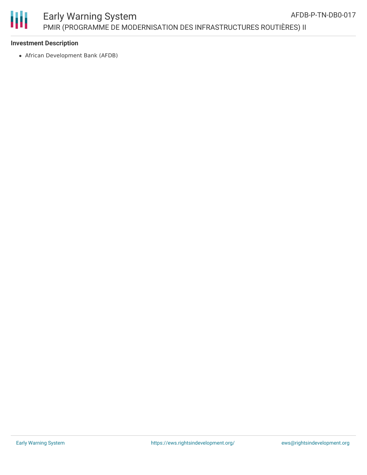

圃

# Early Warning System PMIR (PROGRAMME DE MODERNISATION DES INFRASTRUCTURES ROUTIÈRES) II

### **Investment Description**

African Development Bank (AFDB)